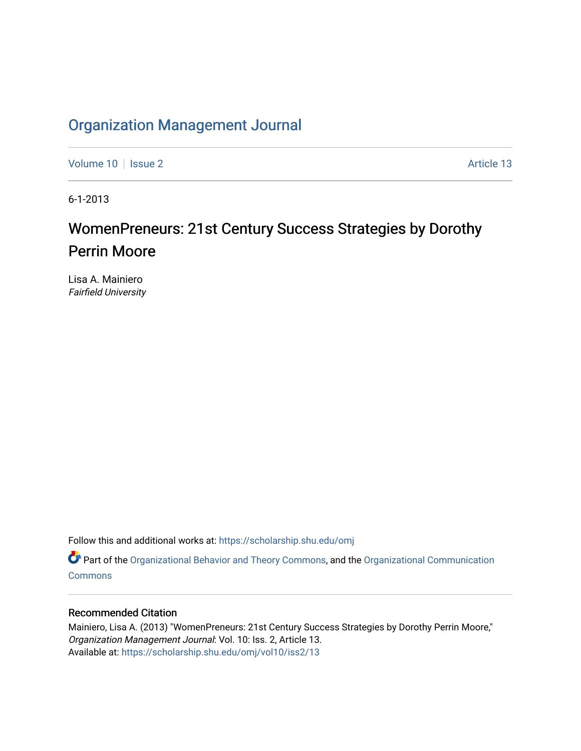## [Organization Management Journal](https://scholarship.shu.edu/omj)

[Volume 10](https://scholarship.shu.edu/omj/vol10) | [Issue 2](https://scholarship.shu.edu/omj/vol10/iss2) Article 13

6-1-2013

# WomenPreneurs: 21st Century Success Strategies by Dorothy Perrin Moore

Lisa A. Mainiero Fairfield University

Follow this and additional works at: [https://scholarship.shu.edu/omj](https://scholarship.shu.edu/omj?utm_source=scholarship.shu.edu%2Fomj%2Fvol10%2Fiss2%2F13&utm_medium=PDF&utm_campaign=PDFCoverPages) 

Part of the [Organizational Behavior and Theory Commons,](http://network.bepress.com/hgg/discipline/639?utm_source=scholarship.shu.edu%2Fomj%2Fvol10%2Fiss2%2F13&utm_medium=PDF&utm_campaign=PDFCoverPages) and the [Organizational Communication](http://network.bepress.com/hgg/discipline/335?utm_source=scholarship.shu.edu%2Fomj%2Fvol10%2Fiss2%2F13&utm_medium=PDF&utm_campaign=PDFCoverPages) **[Commons](http://network.bepress.com/hgg/discipline/335?utm_source=scholarship.shu.edu%2Fomj%2Fvol10%2Fiss2%2F13&utm_medium=PDF&utm_campaign=PDFCoverPages)** 

### Recommended Citation

Mainiero, Lisa A. (2013) "WomenPreneurs: 21st Century Success Strategies by Dorothy Perrin Moore," Organization Management Journal: Vol. 10: Iss. 2, Article 13. Available at: [https://scholarship.shu.edu/omj/vol10/iss2/13](https://scholarship.shu.edu/omj/vol10/iss2/13?utm_source=scholarship.shu.edu%2Fomj%2Fvol10%2Fiss2%2F13&utm_medium=PDF&utm_campaign=PDFCoverPages)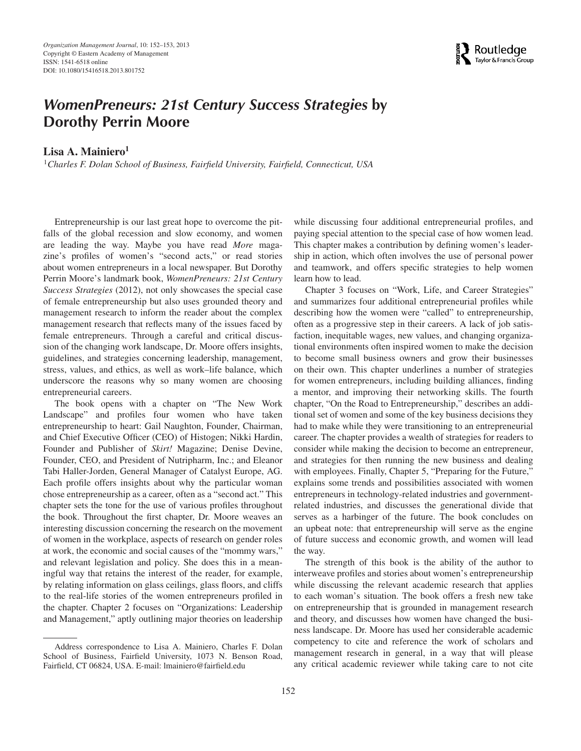

### *WomenPreneurs: 21st Century Success Strategies* **by Dorothy Perrin Moore**

Lisa A. Mainiero<sup>1</sup>

<sup>1</sup>*Charles F. Dolan School of Business, Fairfield University, Fairfield, Connecticut, USA*

Entrepreneurship is our last great hope to overcome the pitfalls of the global recession and slow economy, and women are leading the way. Maybe you have read *More* magazine's profiles of women's "second acts," or read stories about women entrepreneurs in a local newspaper. But Dorothy Perrin Moore's landmark book, *WomenPreneurs: 21st Century Success Strategies* (2012), not only showcases the special case of female entrepreneurship but also uses grounded theory and management research to inform the reader about the complex management research that reflects many of the issues faced by female entrepreneurs. Through a careful and critical discussion of the changing work landscape, Dr. Moore offers insights, guidelines, and strategies concerning leadership, management, stress, values, and ethics, as well as work–life balance, which underscore the reasons why so many women are choosing entrepreneurial careers.

The book opens with a chapter on "The New Work Landscape" and profiles four women who have taken entrepreneurship to heart: Gail Naughton, Founder, Chairman, and Chief Executive Officer (CEO) of Histogen; Nikki Hardin, Founder and Publisher of *Skirt!* Magazine; Denise Devine, Founder, CEO, and President of Nutripharm, Inc.; and Eleanor Tabi Haller-Jorden, General Manager of Catalyst Europe, AG. Each profile offers insights about why the particular woman chose entrepreneurship as a career, often as a "second act." This chapter sets the tone for the use of various profiles throughout the book. Throughout the first chapter, Dr. Moore weaves an interesting discussion concerning the research on the movement of women in the workplace, aspects of research on gender roles at work, the economic and social causes of the "mommy wars," and relevant legislation and policy. She does this in a meaningful way that retains the interest of the reader, for example, by relating information on glass ceilings, glass floors, and cliffs to the real-life stories of the women entrepreneurs profiled in the chapter. Chapter 2 focuses on "Organizations: Leadership and Management," aptly outlining major theories on leadership

Address correspondence to Lisa A. Mainiero, Charles F. Dolan School of Business, Fairfield University, 1073 N. Benson Road, Fairfield, CT 06824, USA. E-mail: lmainiero@fairfield.edu

while discussing four additional entrepreneurial profiles, and paying special attention to the special case of how women lead. This chapter makes a contribution by defining women's leadership in action, which often involves the use of personal power and teamwork, and offers specific strategies to help women learn how to lead.

Chapter 3 focuses on "Work, Life, and Career Strategies" and summarizes four additional entrepreneurial profiles while describing how the women were "called" to entrepreneurship, often as a progressive step in their careers. A lack of job satisfaction, inequitable wages, new values, and changing organizational environments often inspired women to make the decision to become small business owners and grow their businesses on their own. This chapter underlines a number of strategies for women entrepreneurs, including building alliances, finding a mentor, and improving their networking skills. The fourth chapter, "On the Road to Entrepreneurship," describes an additional set of women and some of the key business decisions they had to make while they were transitioning to an entrepreneurial career. The chapter provides a wealth of strategies for readers to consider while making the decision to become an entrepreneur, and strategies for then running the new business and dealing with employees. Finally, Chapter 5, "Preparing for the Future," explains some trends and possibilities associated with women entrepreneurs in technology-related industries and governmentrelated industries, and discusses the generational divide that serves as a harbinger of the future. The book concludes on an upbeat note: that entrepreneurship will serve as the engine of future success and economic growth, and women will lead the way.

The strength of this book is the ability of the author to interweave profiles and stories about women's entrepreneurship while discussing the relevant academic research that applies to each woman's situation. The book offers a fresh new take on entrepreneurship that is grounded in management research and theory, and discusses how women have changed the business landscape. Dr. Moore has used her considerable academic competency to cite and reference the work of scholars and management research in general, in a way that will please any critical academic reviewer while taking care to not cite